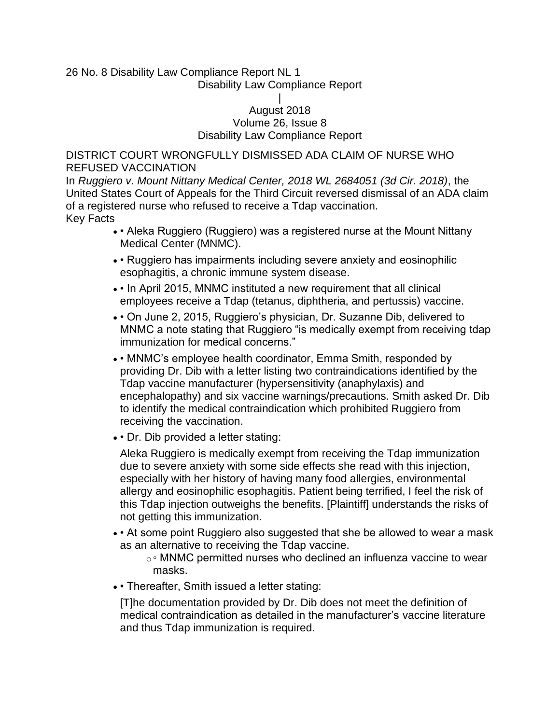### 26 No. 8 Disability Law Compliance Report NL 1 Disability Law Compliance Report

#### | August 2018 Volume 26, Issue 8 Disability Law Compliance Report

DISTRICT COURT WRONGFULLY DISMISSED ADA CLAIM OF NURSE WHO REFUSED VACCINATION

In *Ruggiero v. Mount Nittany Medical Center, 2018 WL 2684051 (3d Cir. 2018)*, the United States Court of Appeals for the Third Circuit reversed dismissal of an ADA claim of a registered nurse who refused to receive a Tdap vaccination. Key Facts

- • Aleka Ruggiero (Ruggiero) was a registered nurse at the Mount Nittany Medical Center (MNMC).
- • Ruggiero has impairments including severe anxiety and eosinophilic esophagitis, a chronic immune system disease.
- • In April 2015, MNMC instituted a new requirement that all clinical employees receive a Tdap (tetanus, diphtheria, and pertussis) vaccine.
- • On June 2, 2015, Ruggiero's physician, Dr. Suzanne Dib, delivered to MNMC a note stating that Ruggiero "is medically exempt from receiving tdap immunization for medical concerns."
- • MNMC's employee health coordinator, Emma Smith, responded by providing Dr. Dib with a letter listing two contraindications identified by the Tdap vaccine manufacturer (hypersensitivity (anaphylaxis) and encephalopathy) and six vaccine warnings/precautions. Smith asked Dr. Dib to identify the medical contraindication which prohibited Ruggiero from receiving the vaccination.
- • Dr. Dib provided a letter stating:

Aleka Ruggiero is medically exempt from receiving the Tdap immunization due to severe anxiety with some side effects she read with this injection, especially with her history of having many food allergies, environmental allergy and eosinophilic esophagitis. Patient being terrified, I feel the risk of this Tdap injection outweighs the benefits. [Plaintiff] understands the risks of not getting this immunization.

• • At some point Ruggiero also suggested that she be allowed to wear a mask as an alternative to receiving the Tdap vaccine.

o ∘ MNMC permitted nurses who declined an influenza vaccine to wear masks.

• • Thereafter, Smith issued a letter stating:

[T]he documentation provided by Dr. Dib does not meet the definition of medical contraindication as detailed in the manufacturer's vaccine literature and thus Tdap immunization is required.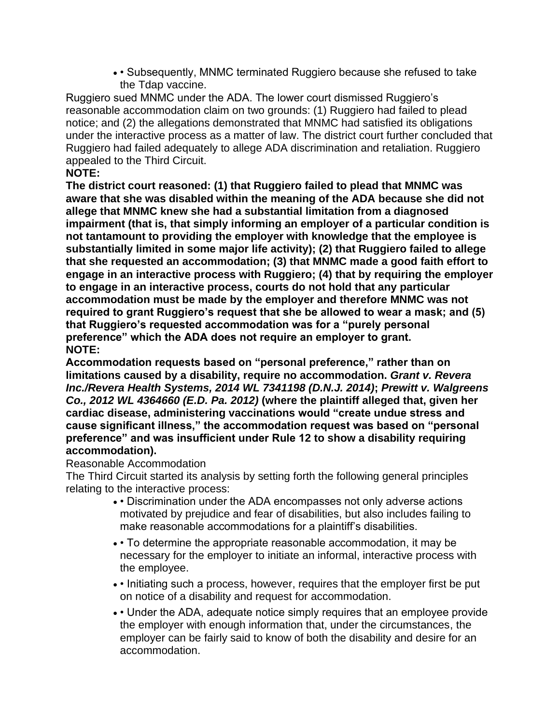• • Subsequently, MNMC terminated Ruggiero because she refused to take the Tdap vaccine.

Ruggiero sued MNMC under the ADA. The lower court dismissed Ruggiero's reasonable accommodation claim on two grounds: (1) Ruggiero had failed to plead notice; and (2) the allegations demonstrated that MNMC had satisfied its obligations under the interactive process as a matter of law. The district court further concluded that Ruggiero had failed adequately to allege ADA discrimination and retaliation. Ruggiero appealed to the Third Circuit.

# **NOTE:**

**The district court reasoned: (1) that Ruggiero failed to plead that MNMC was aware that she was disabled within the meaning of the ADA because she did not allege that MNMC knew she had a substantial limitation from a diagnosed impairment (that is, that simply informing an employer of a particular condition is not tantamount to providing the employer with knowledge that the employee is substantially limited in some major life activity); (2) that Ruggiero failed to allege that she requested an accommodation; (3) that MNMC made a good faith effort to engage in an interactive process with Ruggiero; (4) that by requiring the employer to engage in an interactive process, courts do not hold that any particular accommodation must be made by the employer and therefore MNMC was not required to grant Ruggiero's request that she be allowed to wear a mask; and (5) that Ruggiero's requested accommodation was for a "purely personal preference" which the ADA does not require an employer to grant. NOTE:**

**Accommodation requests based on "personal preference," rather than on limitations caused by a disability, require no accommodation.** *Grant v. Revera Inc./Revera Health Systems, 2014 WL 7341198 (D.N.J. 2014)***;** *Prewitt v. Walgreens Co., 2012 WL 4364660 (E.D. Pa. 2012)* **(where the plaintiff alleged that, given her cardiac disease, administering vaccinations would "create undue stress and cause significant illness," the accommodation request was based on "personal preference" and was insufficient under Rule 12 to show a disability requiring accommodation).**

### Reasonable Accommodation

The Third Circuit started its analysis by setting forth the following general principles relating to the interactive process:

- • Discrimination under the ADA encompasses not only adverse actions motivated by prejudice and fear of disabilities, but also includes failing to make reasonable accommodations for a plaintiff's disabilities.
- • To determine the appropriate reasonable accommodation, it may be necessary for the employer to initiate an informal, interactive process with the employee.
- • Initiating such a process, however, requires that the employer first be put on notice of a disability and request for accommodation.
- • Under the ADA, adequate notice simply requires that an employee provide the employer with enough information that, under the circumstances, the employer can be fairly said to know of both the disability and desire for an accommodation.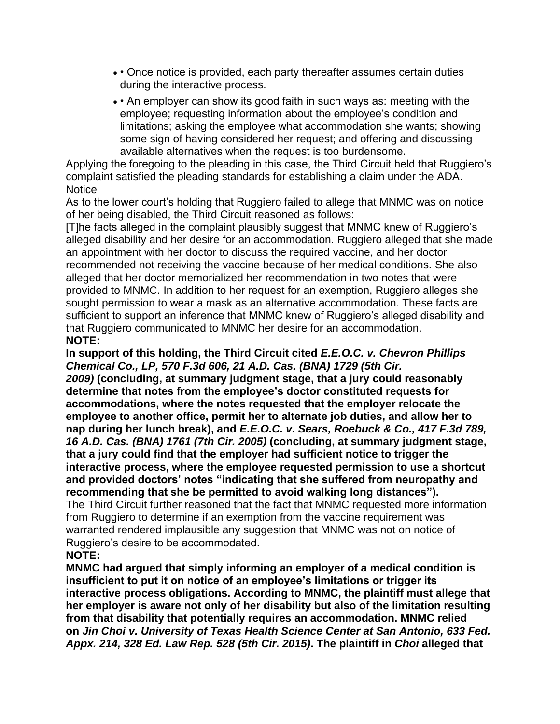- • Once notice is provided, each party thereafter assumes certain duties during the interactive process.
- • An employer can show its good faith in such ways as: meeting with the employee; requesting information about the employee's condition and limitations; asking the employee what accommodation she wants; showing some sign of having considered her request; and offering and discussing available alternatives when the request is too burdensome.

Applying the foregoing to the pleading in this case, the Third Circuit held that Ruggiero's complaint satisfied the pleading standards for establishing a claim under the ADA. **Notice** 

As to the lower court's holding that Ruggiero failed to allege that MNMC was on notice of her being disabled, the Third Circuit reasoned as follows:

[T]he facts alleged in the complaint plausibly suggest that MNMC knew of Ruggiero's alleged disability and her desire for an accommodation. Ruggiero alleged that she made an appointment with her doctor to discuss the required vaccine, and her doctor recommended not receiving the vaccine because of her medical conditions. She also alleged that her doctor memorialized her recommendation in two notes that were provided to MNMC. In addition to her request for an exemption, Ruggiero alleges she sought permission to wear a mask as an alternative accommodation. These facts are sufficient to support an inference that MNMC knew of Ruggiero's alleged disability and that Ruggiero communicated to MNMC her desire for an accommodation. **NOTE:**

**In support of this holding, the Third Circuit cited** *E.E.O.C. v. Chevron Phillips Chemical Co., LP, 570 F.3d 606, 21 A.D. Cas. (BNA) 1729 (5th Cir. 2009)* **(concluding, at summary judgment stage, that a jury could reasonably determine that notes from the employee's doctor constituted requests for accommodations, where the notes requested that the employer relocate the employee to another office, permit her to alternate job duties, and allow her to nap during her lunch break), and** *E.E.O.C. v. Sears, Roebuck & Co., 417 F.3d 789, 16 A.D. Cas. (BNA) 1761 (7th Cir. 2005)* **(concluding, at summary judgment stage, that a jury could find that the employer had sufficient notice to trigger the interactive process, where the employee requested permission to use a shortcut and provided doctors' notes "indicating that she suffered from neuropathy and recommending that she be permitted to avoid walking long distances").**

The Third Circuit further reasoned that the fact that MNMC requested more information from Ruggiero to determine if an exemption from the vaccine requirement was warranted rendered implausible any suggestion that MNMC was not on notice of Ruggiero's desire to be accommodated.

### **NOTE:**

**MNMC had argued that simply informing an employer of a medical condition is insufficient to put it on notice of an employee's limitations or trigger its interactive process obligations. According to MNMC, the plaintiff must allege that her employer is aware not only of her disability but also of the limitation resulting from that disability that potentially requires an accommodation. MNMC relied on** *Jin Choi v. University of Texas Health Science Center at San Antonio, 633 Fed. Appx. 214, 328 Ed. Law Rep. 528 (5th Cir. 2015)***. The plaintiff in** *Choi* **alleged that**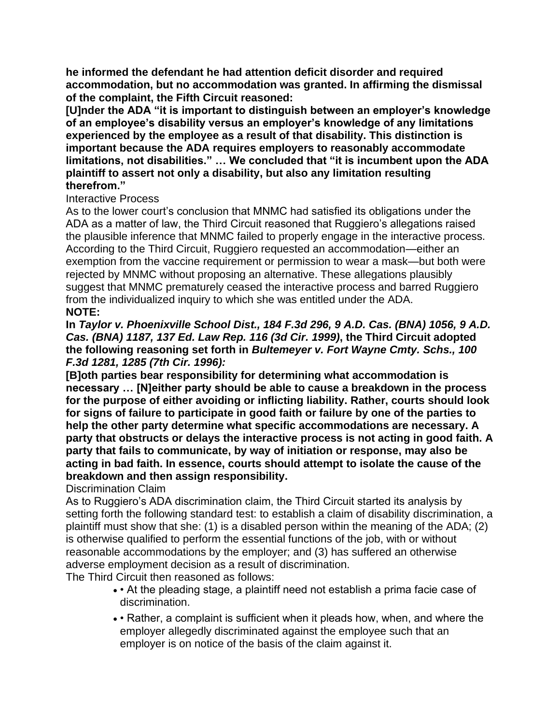**he informed the defendant he had attention deficit disorder and required accommodation, but no accommodation was granted. In affirming the dismissal of the complaint, the Fifth Circuit reasoned:**

**[U]nder the ADA "it is important to distinguish between an employer's knowledge of an employee's disability versus an employer's knowledge of any limitations experienced by the employee as a result of that disability. This distinction is important because the ADA requires employers to reasonably accommodate limitations, not disabilities." … We concluded that "it is incumbent upon the ADA plaintiff to assert not only a disability, but also any limitation resulting therefrom."**

## Interactive Process

As to the lower court's conclusion that MNMC had satisfied its obligations under the ADA as a matter of law, the Third Circuit reasoned that Ruggiero's allegations raised the plausible inference that MNMC failed to properly engage in the interactive process. According to the Third Circuit, Ruggiero requested an accommodation—either an exemption from the vaccine requirement or permission to wear a mask—but both were rejected by MNMC without proposing an alternative. These allegations plausibly suggest that MNMC prematurely ceased the interactive process and barred Ruggiero from the individualized inquiry to which she was entitled under the ADA. **NOTE:**

**In** *Taylor v. Phoenixville School Dist., 184 F.3d 296, 9 A.D. Cas. (BNA) 1056, 9 A.D. Cas. (BNA) 1187, 137 Ed. Law Rep. 116 (3d Cir. 1999)***, the Third Circuit adopted the following reasoning set forth in** *Bultemeyer v. Fort Wayne Cmty. Schs., 100 F.3d 1281, 1285 (7th Cir. 1996):*

**[B]oth parties bear responsibility for determining what accommodation is necessary … [N]either party should be able to cause a breakdown in the process for the purpose of either avoiding or inflicting liability. Rather, courts should look for signs of failure to participate in good faith or failure by one of the parties to help the other party determine what specific accommodations are necessary. A party that obstructs or delays the interactive process is not acting in good faith. A party that fails to communicate, by way of initiation or response, may also be acting in bad faith. In essence, courts should attempt to isolate the cause of the breakdown and then assign responsibility.**

Discrimination Claim

As to Ruggiero's ADA discrimination claim, the Third Circuit started its analysis by setting forth the following standard test: to establish a claim of disability discrimination, a plaintiff must show that she: (1) is a disabled person within the meaning of the ADA; (2) is otherwise qualified to perform the essential functions of the job, with or without reasonable accommodations by the employer; and (3) has suffered an otherwise adverse employment decision as a result of discrimination.

The Third Circuit then reasoned as follows:

- • At the pleading stage, a plaintiff need not establish a prima facie case of discrimination.
- • Rather, a complaint is sufficient when it pleads how, when, and where the employer allegedly discriminated against the employee such that an employer is on notice of the basis of the claim against it.